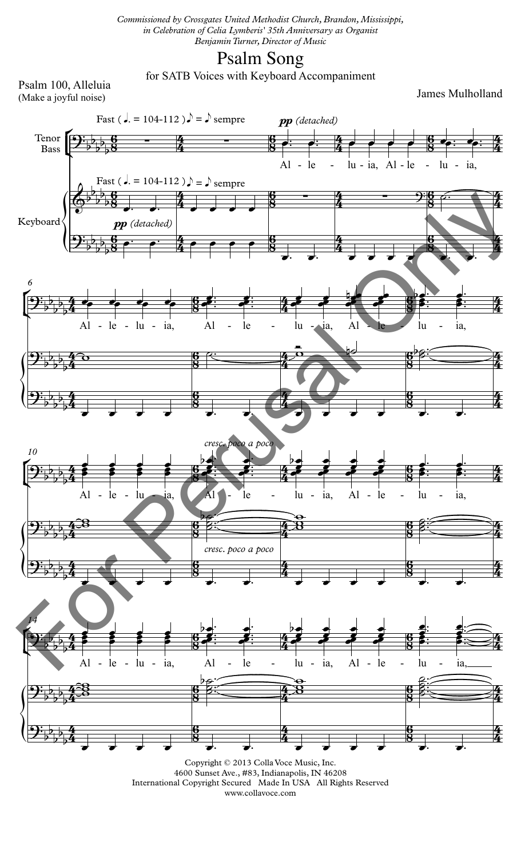*Commissioned by Crossgates United Methodist Church, Brandon, Mississippi, in Celebration of Celia Lymberis' 35th Anniversary as Organist Benjamin Turner, Director of Music*

## Psalm Song

for SATB Voices with Keyboard Accompaniment

Psalm 100, Alleluia (Make a joyful noise)

James Mulholland



Copyright © 2013 Colla Voce Music, Inc. 4600 Sunset Ave., #83, Indianapolis, IN 46208 International Copyright Secured Made In USA All Rights Reserved www.collavoce.com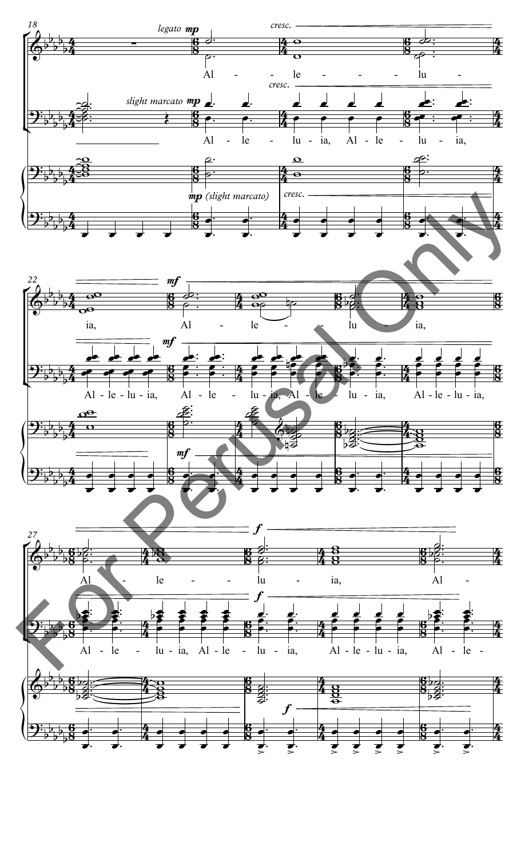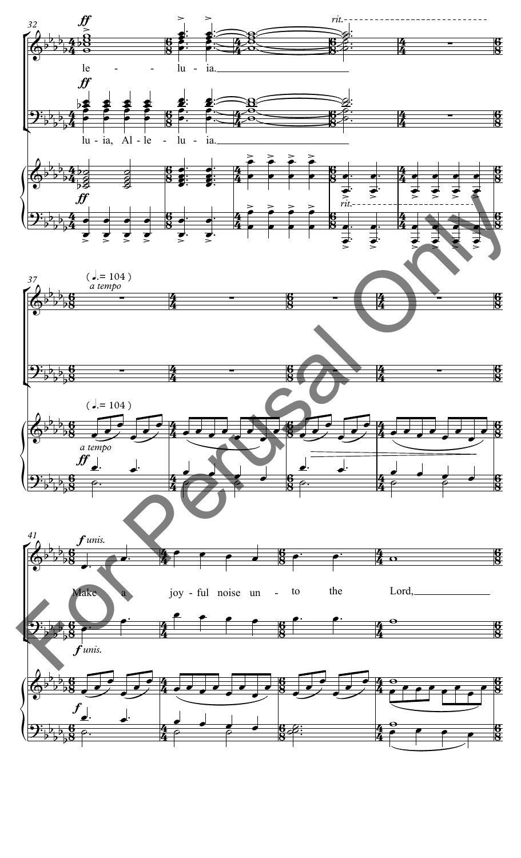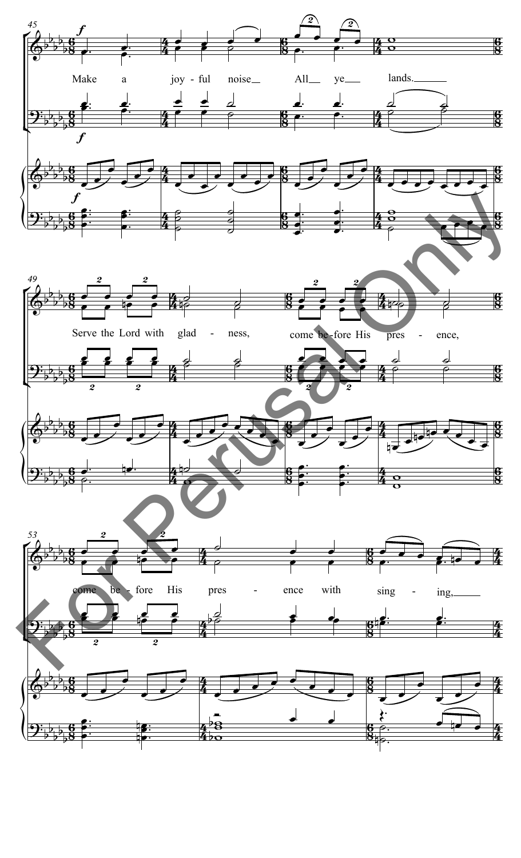![](_page_3_Figure_0.jpeg)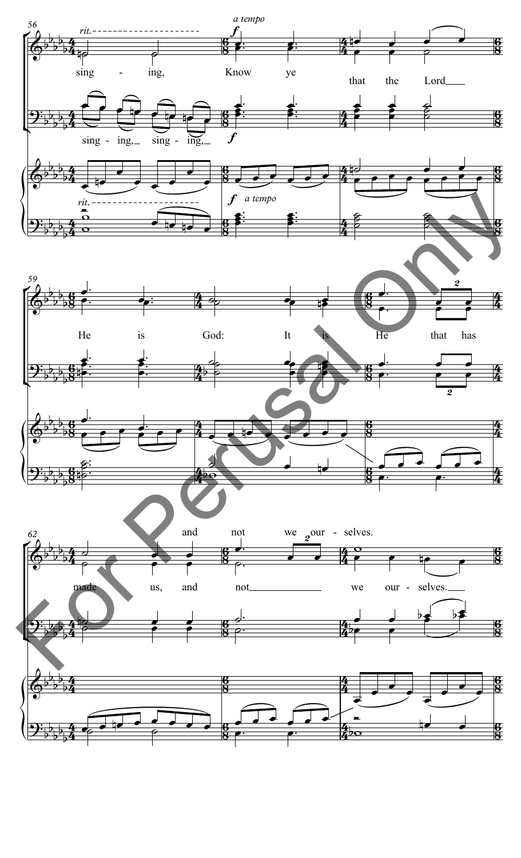![](_page_4_Figure_0.jpeg)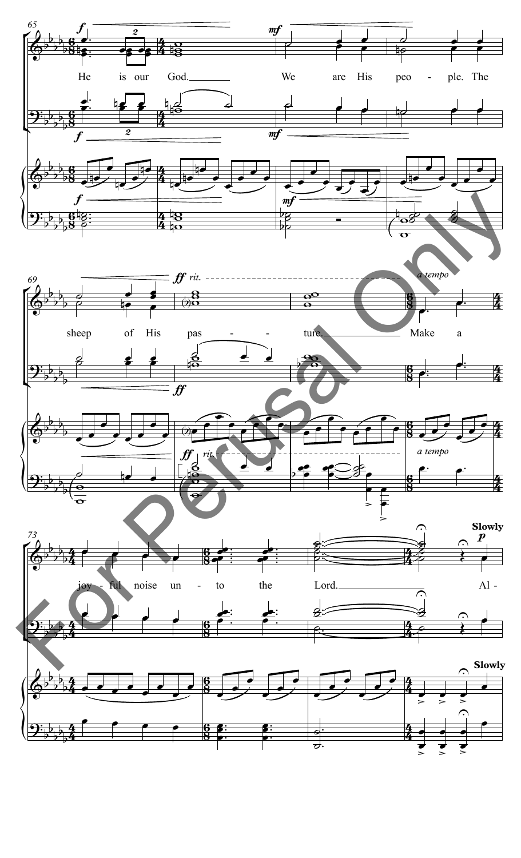![](_page_5_Figure_0.jpeg)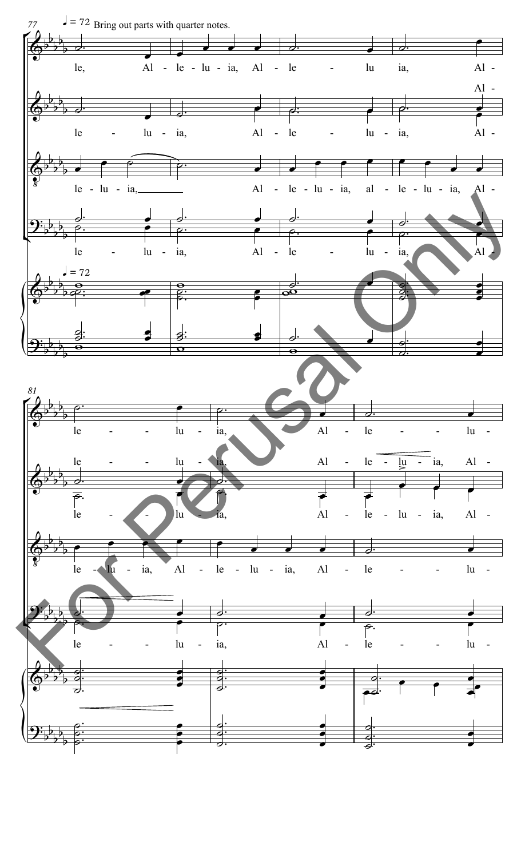![](_page_6_Figure_0.jpeg)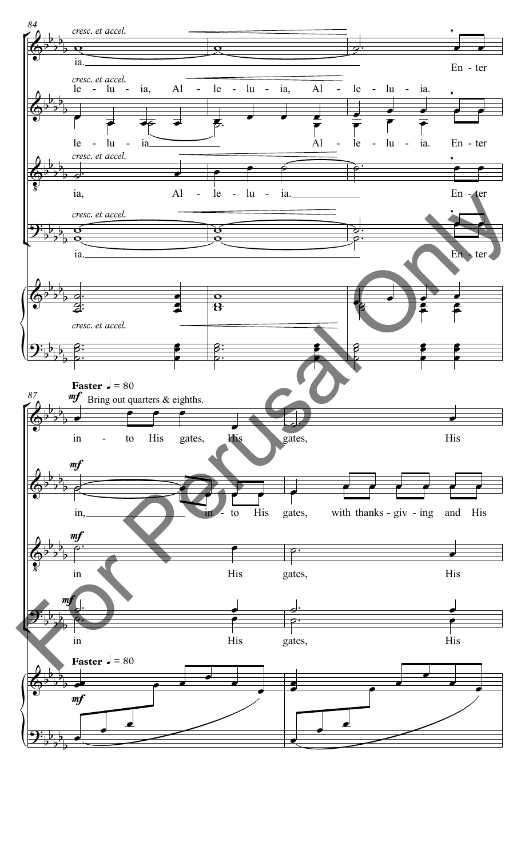![](_page_7_Figure_0.jpeg)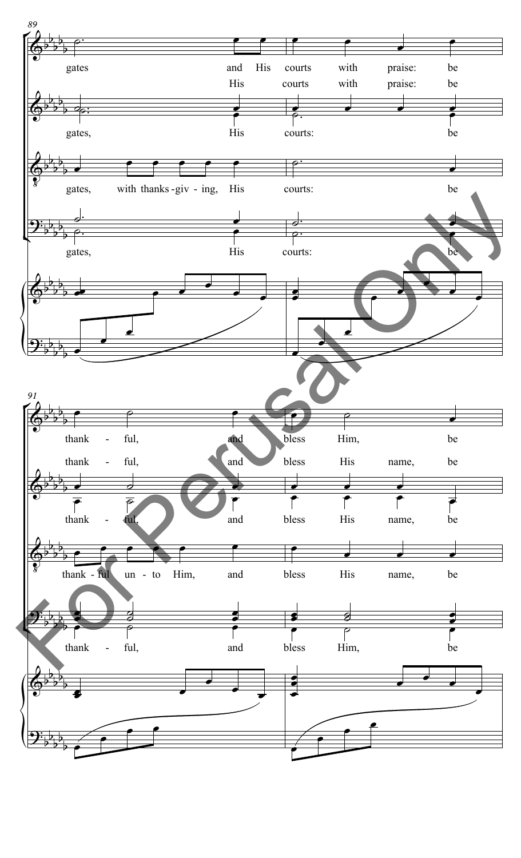![](_page_8_Figure_0.jpeg)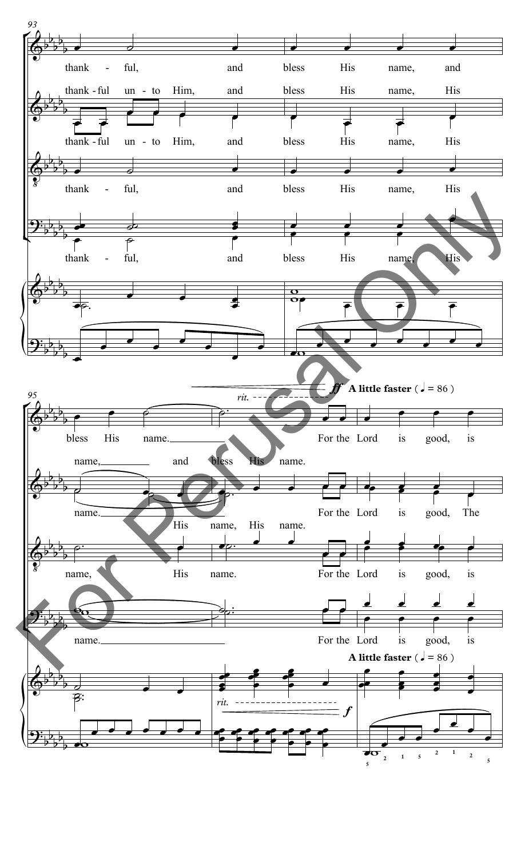![](_page_9_Figure_0.jpeg)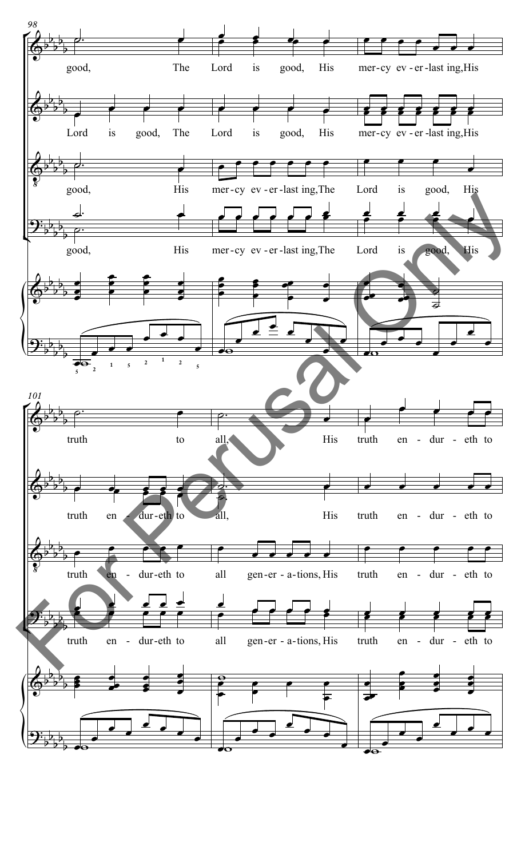![](_page_10_Figure_0.jpeg)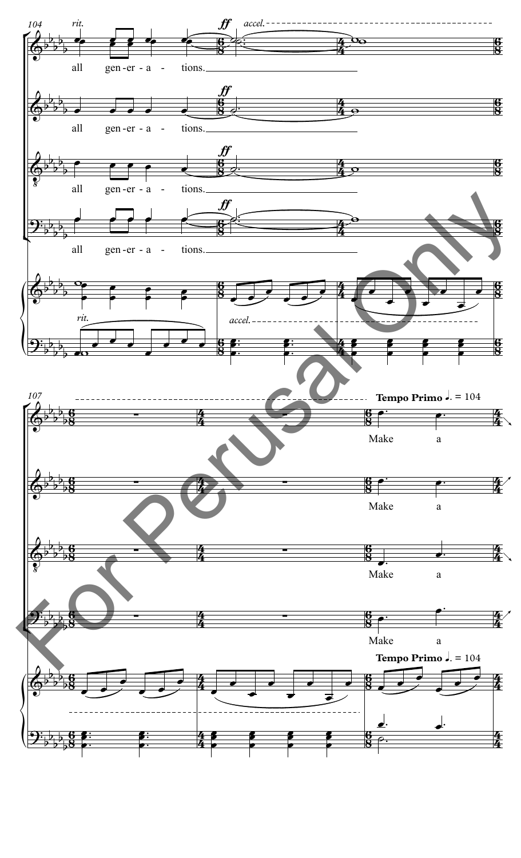![](_page_11_Figure_0.jpeg)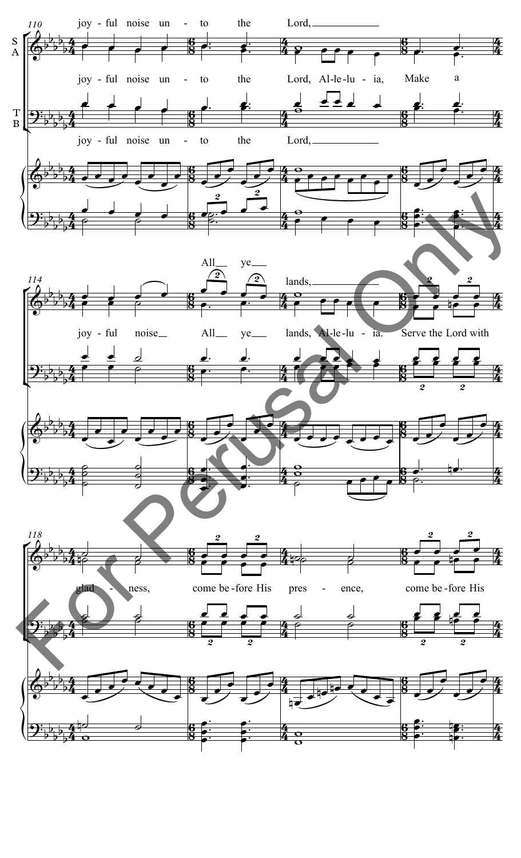![](_page_12_Figure_0.jpeg)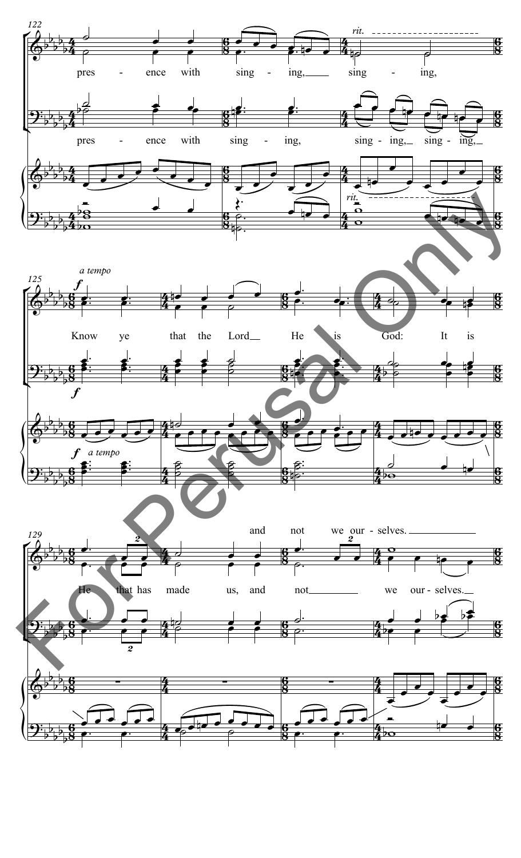![](_page_13_Figure_0.jpeg)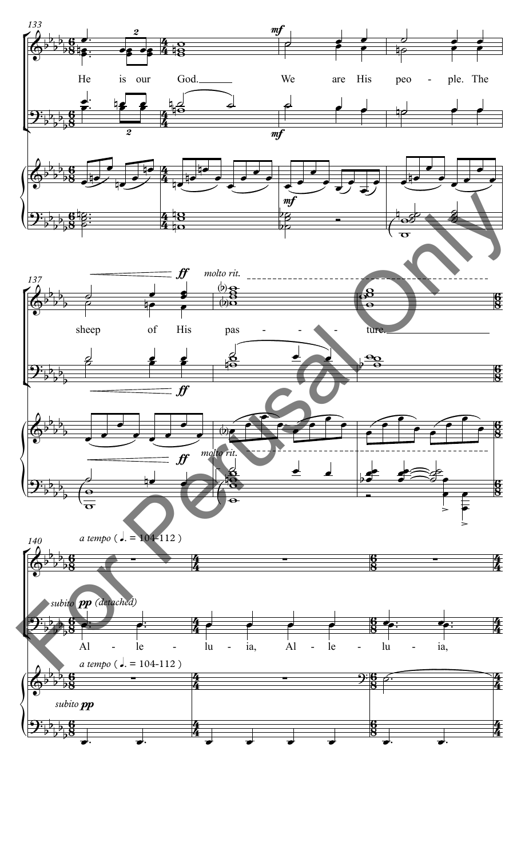![](_page_14_Figure_0.jpeg)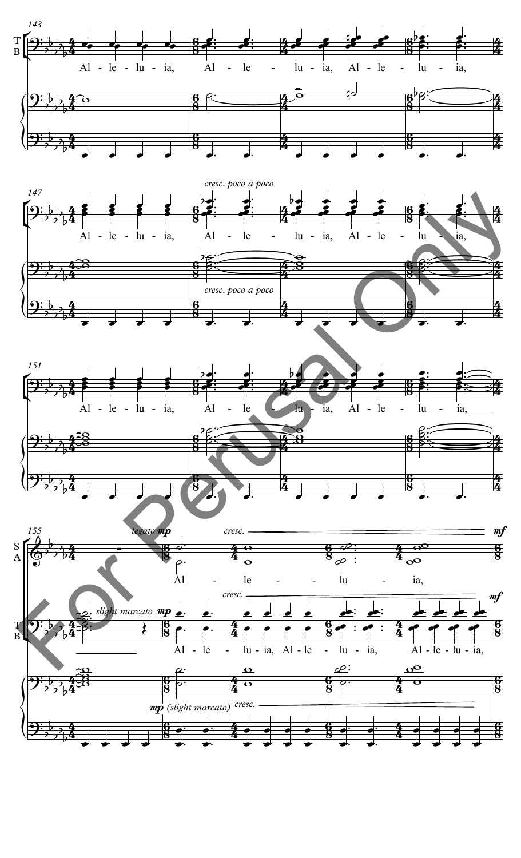![](_page_15_Figure_0.jpeg)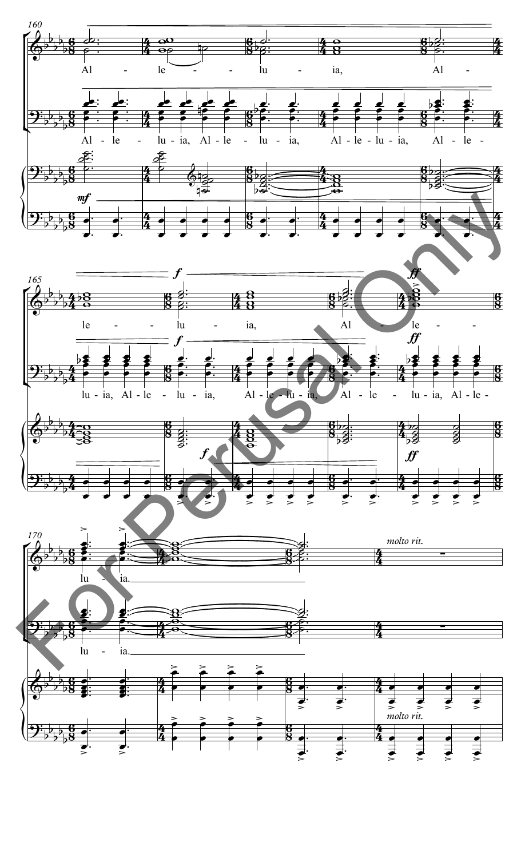![](_page_16_Figure_0.jpeg)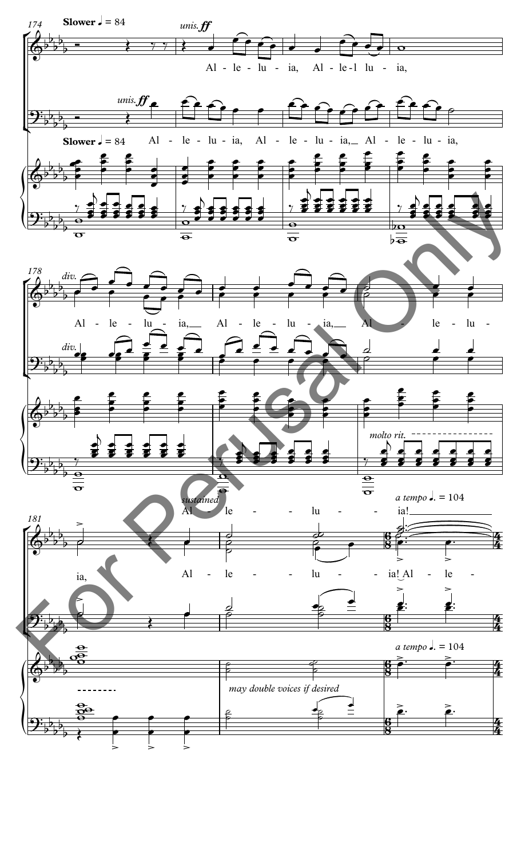![](_page_17_Figure_0.jpeg)